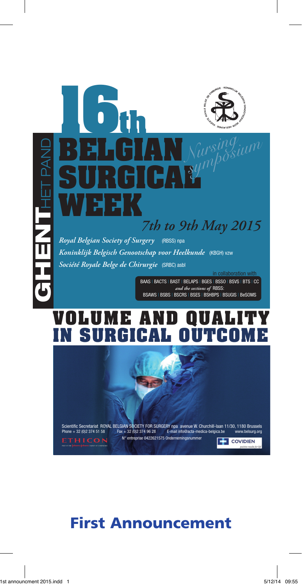# Het Pand i<br>H **GHENT**  $\frac{1}{2}$

## **16th Belgian Surgical Week** *7th to 9th May 2015 Nursing symposium*

*Royal Belgian Society of Surgery* (RBSS) npa *Koninklijk Belgisch Genootschap voor Heelkunde* (KBGH) vzw *Société Royale Belge de Chirurgie* (SRBC) asbl

> BAAS | BACTS | BAST | BELAPS | BGES | BSSO | BSVS | BTS | CC *and the sections of* RBSS: BSAWS | BSBS | BSCRS | BSES | BSHBPS | BSUGIS | BeSOMS

## **Volume and quality in Surgical outcome**



## First Announcement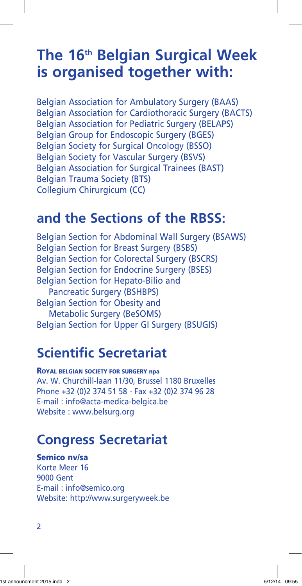## **The 16th Belgian Surgical Week is organised together with:**

Belgian Association for Ambulatory Surgery (BAAS) Belgian Association for Cardiothoracic Surgery (BACTS) Belgian Association for Pediatric Surgery (BELAPS) Belgian Group for Endoscopic Surgery (BGES) Belgian Society for Surgical Oncology (BSSO) Belgian Society for Vascular Surgery (BSVS) Belgian Association for Surgical Trainees (BAST) Belgian Trauma Society (BTS) Collegium Chirurgicum (CC)

### **and the Sections of the RBSS:**

Belgian Section for Abdominal Wall Surgery (BSAWS) Belgian Section for Breast Surgery (BSBS) Belgian Section for Colorectal Surgery (BSCRS) Belgian Section for Endocrine Surgery (BSES) Belgian Section for Hepato-Bilio and Pancreatic Surgery (BSHBPS) Belgian Section for Obesity and Metabolic Surgery (BeSOMS) Belgian Section for Upper GI Surgery (BSUGIS)

## **Scientific Secretariat**

ROYAL BELGIAN SOCIETY FOR SURGERY npa Av. W. Churchill-laan 11/30, Brussel 1180 Bruxelles Phone +32 (0)2 374 51 58 - Fax +32 (0)2 374 96 28 E-mail : info@acta-medica-belgica.be Website : www.belsurg.org

## **Congress Secretariat**

#### Semico nv/sa

Korte Meer 16 9000 Gent E-mail : info@semico.org Website: http://www.surgeryweek.be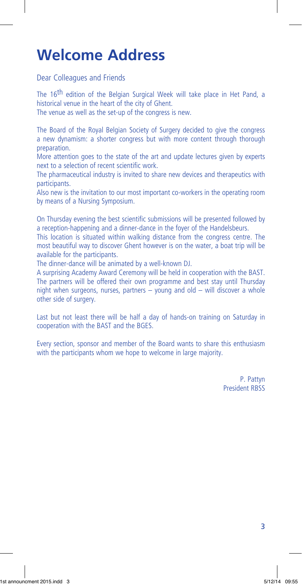## **Welcome Address**

Dear Colleagues and Friends

The 16<sup>th</sup> edition of the Belgian Surgical Week will take place in Het Pand, a historical venue in the heart of the city of Ghent.

The venue as well as the set-up of the congress is new.

The Board of the Royal Belgian Society of Surgery decided to give the congress a new dynamism: a shorter congress but with more content through thorough preparation.

More attention goes to the state of the art and update lectures given by experts next to a selection of recent scientific work.

The pharmaceutical industry is invited to share new devices and therapeutics with participants.

Also new is the invitation to our most important co-workers in the operating room by means of a Nursing Symposium.

On Thursday evening the best scientific submissions will be presented followed by a reception-happening and a dinner-dance in the foyer of the Handelsbeurs.

This location is situated within walking distance from the congress centre. The most beautiful way to discover Ghent however is on the water, a boat trip will be available for the participants.

The dinner-dance will be animated by a well-known DJ.

A surprising Academy Award Ceremony will be held in cooperation with the BAST. The partners will be offered their own programme and best stay until Thursday night when surgeons, nurses, partners – young and old – will discover a whole other side of surgery.

Last but not least there will be half a day of hands-on training on Saturday in cooperation with the BAST and the BGES.

Every section, sponsor and member of the Board wants to share this enthusiasm with the participants whom we hope to welcome in large majority.

> P. Pattyn President RBSS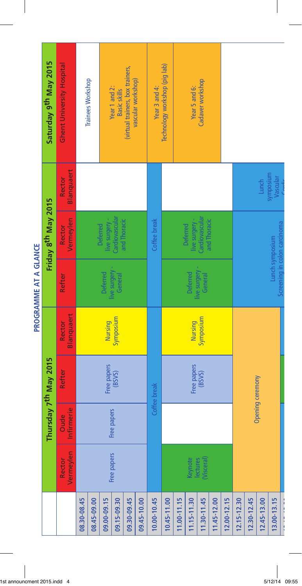| Ghent University Hospital<br>Technology workshop (pig lab)<br>(virtual trainers, box trainers,<br>Cadaver workshop<br><b>Trainees Workshop</b><br>vascular workshop)<br>Year 3 and 4:<br>Year 5 and 6:<br>Year 1 and 2:<br><b>Basic skills</b><br>Blanquaert<br>symposium<br>Rector<br>Vascular<br>Lunch<br>Cardiovascular<br>Cardiovascular<br>and Thoracic<br>live surgery -<br>live surgery -<br>and Thoracic<br>Vermeylen<br>Coffee break<br>Screening in colon carcinoma<br><b>Deferred</b><br><b>Deferred</b><br>Rector<br>Lunch symposium<br>live surgery -<br>live surgery -<br>General<br><b>Deferred</b><br><b>Deferred</b><br>General<br>Refter<br>Blanquaert<br>Symposium<br>Symposium<br>Nursing<br>Nursing<br>Rector<br>Free papers<br>Free papers<br>Refter<br>(BSVS)<br>(BSVS)<br>Opening ceremony<br>Coffee break<br>Infirmerie<br>Free papers<br><b>Oude</b><br>Vermeylen<br>Free papers<br>Rector<br>Keynote<br>lectures<br>(Visceral) |  | Thursday 7 <sup>th</sup> May 2015 | PROGRAMME AT A GLANCE | Friday 8 <sup>th</sup> May 2015 | Saturday 9th May 2015 |
|-----------------------------------------------------------------------------------------------------------------------------------------------------------------------------------------------------------------------------------------------------------------------------------------------------------------------------------------------------------------------------------------------------------------------------------------------------------------------------------------------------------------------------------------------------------------------------------------------------------------------------------------------------------------------------------------------------------------------------------------------------------------------------------------------------------------------------------------------------------------------------------------------------------------------------------------------------------|--|-----------------------------------|-----------------------|---------------------------------|-----------------------|
|                                                                                                                                                                                                                                                                                                                                                                                                                                                                                                                                                                                                                                                                                                                                                                                                                                                                                                                                                           |  |                                   |                       |                                 |                       |
|                                                                                                                                                                                                                                                                                                                                                                                                                                                                                                                                                                                                                                                                                                                                                                                                                                                                                                                                                           |  |                                   |                       |                                 |                       |
|                                                                                                                                                                                                                                                                                                                                                                                                                                                                                                                                                                                                                                                                                                                                                                                                                                                                                                                                                           |  |                                   |                       |                                 |                       |
|                                                                                                                                                                                                                                                                                                                                                                                                                                                                                                                                                                                                                                                                                                                                                                                                                                                                                                                                                           |  |                                   |                       |                                 |                       |
|                                                                                                                                                                                                                                                                                                                                                                                                                                                                                                                                                                                                                                                                                                                                                                                                                                                                                                                                                           |  |                                   |                       |                                 |                       |
|                                                                                                                                                                                                                                                                                                                                                                                                                                                                                                                                                                                                                                                                                                                                                                                                                                                                                                                                                           |  |                                   |                       |                                 |                       |
|                                                                                                                                                                                                                                                                                                                                                                                                                                                                                                                                                                                                                                                                                                                                                                                                                                                                                                                                                           |  |                                   |                       |                                 |                       |
|                                                                                                                                                                                                                                                                                                                                                                                                                                                                                                                                                                                                                                                                                                                                                                                                                                                                                                                                                           |  |                                   |                       |                                 |                       |
|                                                                                                                                                                                                                                                                                                                                                                                                                                                                                                                                                                                                                                                                                                                                                                                                                                                                                                                                                           |  |                                   |                       |                                 |                       |
|                                                                                                                                                                                                                                                                                                                                                                                                                                                                                                                                                                                                                                                                                                                                                                                                                                                                                                                                                           |  |                                   |                       |                                 |                       |
|                                                                                                                                                                                                                                                                                                                                                                                                                                                                                                                                                                                                                                                                                                                                                                                                                                                                                                                                                           |  |                                   |                       |                                 |                       |
|                                                                                                                                                                                                                                                                                                                                                                                                                                                                                                                                                                                                                                                                                                                                                                                                                                                                                                                                                           |  |                                   |                       |                                 |                       |
|                                                                                                                                                                                                                                                                                                                                                                                                                                                                                                                                                                                                                                                                                                                                                                                                                                                                                                                                                           |  |                                   |                       |                                 |                       |
|                                                                                                                                                                                                                                                                                                                                                                                                                                                                                                                                                                                                                                                                                                                                                                                                                                                                                                                                                           |  |                                   |                       |                                 |                       |
|                                                                                                                                                                                                                                                                                                                                                                                                                                                                                                                                                                                                                                                                                                                                                                                                                                                                                                                                                           |  |                                   |                       |                                 |                       |
|                                                                                                                                                                                                                                                                                                                                                                                                                                                                                                                                                                                                                                                                                                                                                                                                                                                                                                                                                           |  |                                   |                       |                                 |                       |
|                                                                                                                                                                                                                                                                                                                                                                                                                                                                                                                                                                                                                                                                                                                                                                                                                                                                                                                                                           |  |                                   |                       |                                 |                       |
|                                                                                                                                                                                                                                                                                                                                                                                                                                                                                                                                                                                                                                                                                                                                                                                                                                                                                                                                                           |  |                                   |                       |                                 |                       |

|<br>1st announcment 2015.indd 4 5/12/14 09:55  $\begin{array}{c} \begin{array}{c} \begin{array}{c} \end{array} \end{array} \end{array}$ 

 $\overline{\phantom{a}}$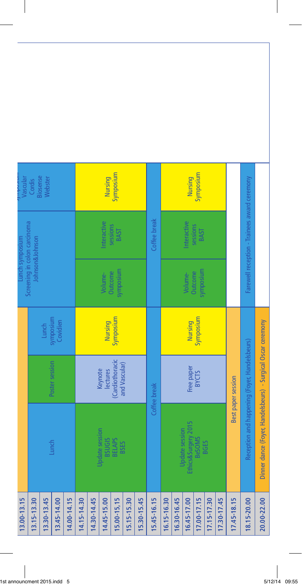| Farewell reception - Trainees award ceremony<br>Coffee break<br>Interactive<br>Interactive<br>sessions<br>sessions<br><b>BAST</b><br><b>BAST</b><br>Johnson&Johnson<br>symposium<br>symposium<br>Outcome<br>Outcome<br>Volume-<br>Volume-<br>symposium<br>Symposium<br>Symposium<br>Dinner dance (Foyer, Handelsbeurs) - Surgical Oscar ceremony<br>Covidien<br>Nursing<br><b>Nursing</b><br>Lunch<br>Reception and happening (Foyer, Handelsbeurs)<br>(Cardiothoracic<br>Poster session<br>and Vascular)<br>Free paper<br>Keynote<br>lectures<br><b>BYCTS</b><br><b>Best paper session</b><br>Coffee break<br>Ethics&Surgery 2015<br>Update session<br>Update session<br><b>BeSOMS</b><br><b>BSUGIS</b><br><b>BELAPS</b><br><b>BGES</b><br>Lunch<br><b>BSES</b> |             |  |  | Screening in colon carcinoma<br>Lunch symposium | Vascular                  |
|------------------------------------------------------------------------------------------------------------------------------------------------------------------------------------------------------------------------------------------------------------------------------------------------------------------------------------------------------------------------------------------------------------------------------------------------------------------------------------------------------------------------------------------------------------------------------------------------------------------------------------------------------------------------------------------------------------------------------------------------------------------|-------------|--|--|-------------------------------------------------|---------------------------|
|                                                                                                                                                                                                                                                                                                                                                                                                                                                                                                                                                                                                                                                                                                                                                                  |             |  |  |                                                 | <b>Siosense</b><br>Cordis |
|                                                                                                                                                                                                                                                                                                                                                                                                                                                                                                                                                                                                                                                                                                                                                                  | 13.30-13.45 |  |  |                                                 | Webster                   |
| 16.30-16.45<br>17.00-17.15<br>14.00-14.15<br>14.15-14.30<br>14.30-14.45<br>14.45-15.00<br>15.00-15,15<br>15.45-16.15<br>16.45-17.00<br>17.15-17.30<br>17.30-17.45<br>17.45-18.15<br>15.15-15.30<br>15.30-15.45<br>16.15-16.30<br>18.15-20.00                                                                                                                                                                                                                                                                                                                                                                                                                                                                                                                     | 13.45-14.00 |  |  |                                                 |                           |
|                                                                                                                                                                                                                                                                                                                                                                                                                                                                                                                                                                                                                                                                                                                                                                  |             |  |  |                                                 |                           |
|                                                                                                                                                                                                                                                                                                                                                                                                                                                                                                                                                                                                                                                                                                                                                                  |             |  |  |                                                 |                           |
|                                                                                                                                                                                                                                                                                                                                                                                                                                                                                                                                                                                                                                                                                                                                                                  |             |  |  |                                                 |                           |
|                                                                                                                                                                                                                                                                                                                                                                                                                                                                                                                                                                                                                                                                                                                                                                  |             |  |  |                                                 | Nursing                   |
|                                                                                                                                                                                                                                                                                                                                                                                                                                                                                                                                                                                                                                                                                                                                                                  |             |  |  |                                                 | Symposium                 |
|                                                                                                                                                                                                                                                                                                                                                                                                                                                                                                                                                                                                                                                                                                                                                                  |             |  |  |                                                 |                           |
|                                                                                                                                                                                                                                                                                                                                                                                                                                                                                                                                                                                                                                                                                                                                                                  |             |  |  |                                                 |                           |
|                                                                                                                                                                                                                                                                                                                                                                                                                                                                                                                                                                                                                                                                                                                                                                  |             |  |  |                                                 |                           |
|                                                                                                                                                                                                                                                                                                                                                                                                                                                                                                                                                                                                                                                                                                                                                                  |             |  |  |                                                 |                           |
|                                                                                                                                                                                                                                                                                                                                                                                                                                                                                                                                                                                                                                                                                                                                                                  |             |  |  |                                                 |                           |
|                                                                                                                                                                                                                                                                                                                                                                                                                                                                                                                                                                                                                                                                                                                                                                  |             |  |  |                                                 | Nursing                   |
|                                                                                                                                                                                                                                                                                                                                                                                                                                                                                                                                                                                                                                                                                                                                                                  |             |  |  |                                                 | Symposium                 |
|                                                                                                                                                                                                                                                                                                                                                                                                                                                                                                                                                                                                                                                                                                                                                                  |             |  |  |                                                 |                           |
|                                                                                                                                                                                                                                                                                                                                                                                                                                                                                                                                                                                                                                                                                                                                                                  |             |  |  |                                                 |                           |
|                                                                                                                                                                                                                                                                                                                                                                                                                                                                                                                                                                                                                                                                                                                                                                  |             |  |  |                                                 |                           |
|                                                                                                                                                                                                                                                                                                                                                                                                                                                                                                                                                                                                                                                                                                                                                                  |             |  |  |                                                 |                           |
|                                                                                                                                                                                                                                                                                                                                                                                                                                                                                                                                                                                                                                                                                                                                                                  | 20.00-22.00 |  |  |                                                 |                           |

I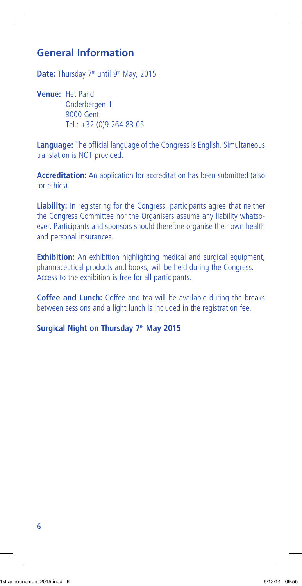#### **General Information**

Date: Thursday 7<sup>th</sup> until 9<sup>th</sup> May, 2015

**Venue:** Het Pand Onderbergen 1 9000 Gent Tel.: +32 (0)9 264 83 05

**Language:** The official language of the Congress is English. Simultaneous translation is NOT provided.

**Accreditation:** An application for accreditation has been submitted (also for ethics).

**Liability:** In registering for the Congress, participants agree that neither the Congress Committee nor the Organisers assume any liability whatsoever. Participants and sponsors should therefore organise their own health and personal insurances.

**Exhibition:** An exhibition highlighting medical and surgical equipment, pharmaceutical products and books, will be held during the Congress. Access to the exhibition is free for all participants.

**Coffee and Lunch:** Coffee and tea will be available during the breaks between sessions and a light lunch is included in the registration fee.

Surgical Night on Thursday 7<sup>th</sup> May 2015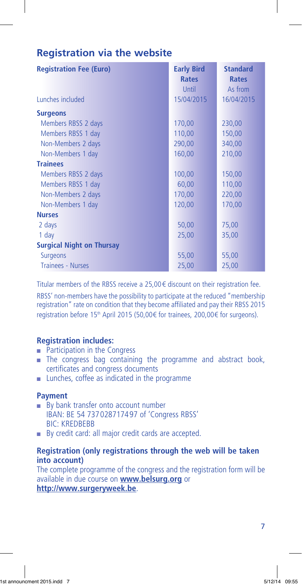#### **Registration via the website**

| <b>Registration Fee (Euro)</b>   | <b>Early Bird</b> | <b>Standard</b> |
|----------------------------------|-------------------|-----------------|
|                                  | <b>Rates</b>      | <b>Rates</b>    |
|                                  | Until             | As from         |
| Lunches included                 | 15/04/2015        | 16/04/2015      |
| <b>Surgeons</b>                  |                   |                 |
| Members RBSS 2 days              | 170,00            | 230,00          |
| Members RBSS 1 day               | 110,00            | 150,00          |
| Non-Members 2 days               | 290,00            | 340,00          |
| Non-Members 1 day                | 160,00            | 210,00          |
| <b>Trainees</b>                  |                   |                 |
| Members RBSS 2 days              | 100,00            | 150,00          |
| Members RBSS 1 day               | 60,00             | 110,00          |
| Non-Members 2 days               | 170,00            | 220,00          |
| Non-Members 1 day                | 120,00            | 170,00          |
| <b>Nurses</b>                    |                   |                 |
| 2 days                           | 50,00             | 75,00           |
| 1 day                            | 25,00             | 35,00           |
| <b>Surgical Night on Thursay</b> |                   |                 |
| <b>Surgeons</b>                  | 55,00             | 55,00           |
| <b>Trainees - Nurses</b>         | 25,00             | 25,00           |

Titular members of the RBSS receive a 25,00€ discount on their registration fee.

RBSS' non-members have the possibility to participate at the reduced "membership registration" rate on condition that they become affiliated and pay their RBSS 2015 registration before 15<sup>th</sup> April 2015 (50,00€ for trainees, 200,00€ for surgeons).

#### **Registration includes:**

- $\blacksquare$  Participation in the Congress
- <sup>n</sup> The congress bag containing the programme and abstract book, certificates and congress documents
- **n** Lunches, coffee as indicated in the programme

#### **Payment**

- $\blacksquare$  By bank transfer onto account number IBAN: BE 54 737028717497 of 'Congress RBSS' BIC: KREDBEBB
- **By credit card: all major credit cards are accepted.**

#### **Registration (only registrations through the web will be taken into account)**

The complete programme of the congress and the registration form will be available in due course on **www.belsurg.org** or **http://www.surgeryweek.be**.